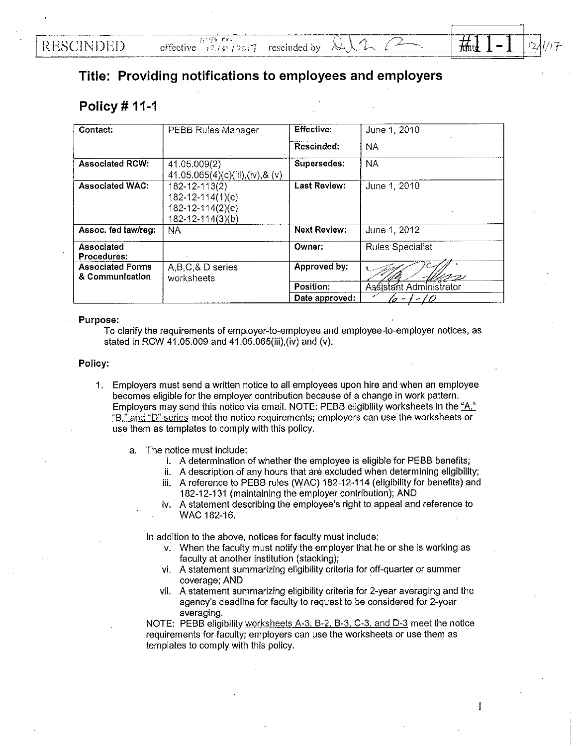I

## **Title: Providing notifications to employees and employers**

## **Policy# 11-1**

| Contact:                                   | <b>PEBB Rules Manager</b>                                                             | <b>Effective:</b>   | June 1, 2010             |
|--------------------------------------------|---------------------------------------------------------------------------------------|---------------------|--------------------------|
|                                            |                                                                                       | Rescinded:          | NA.                      |
| <b>Associated RCW:</b>                     | 41.05.009(2)<br>41.05.065(4)(c)(iii),(iv),&(v)                                        | Supersedes:         | <b>NA</b>                |
| <b>Associated WAC:</b>                     | 182-12-113(2)<br>$182 - 12 - 114(1)(c)$<br>$182 - 12 - 114(2)(c)$<br>182-12-114(3)(b) | <b>Last Review:</b> | June 1, 2010             |
| Assoc. fed law/reg:                        | NA.                                                                                   | <b>Next Review:</b> | June 1, 2012             |
| Associated<br>Procedures:                  |                                                                                       | Owner:              | <b>Rules Specialist</b>  |
| <b>Associated Forms</b><br>& Communication | A,B,C,&D series<br>worksheets                                                         | Approved by:        | モンジ                      |
|                                            |                                                                                       | Position:           | Assistant Administrator  |
|                                            |                                                                                       | Date approved:      | T D<br>$\mathcal{L}_{2}$ |

## Purpose:

To clarify the requirements of employer-to-employee and employee-to-employer notices, as stated in RCW 41.05.009 and 41.05.065(iii),(iv) and (v).

## Policy:

- 1. Employers must send a written notice to all employees upon hire and when an employee becomes eligible for the employer contribution because of a change in work pattern. Employers may send this notice via email. NOTE: PEBB eligibility worksheets in the "A" "B," and "D" series meet the notice requirements; employers can use the worksheets or use them as templates to comply with this policy.
	- a. The notice must include:
		- i. A determination of whether the employee is eligible for PEBB benefits;
		- ii. A description of any hours that are excluded when determining eligibility;
		- iii. A reference to PEBB rules (WAC) 182-12-114 (eligibility for benefits) and 182-12-131 (maintaining the employer contribution); AND
		- iv. A statement describing the employee's right to appeal and reference to WAC 182-16.

In addition to the above, notices for faculty must include:

- v. When the faculty must notify the employer that he or she is working as faculty at another institution (stacking);
- vi. A statement summarizing eligibility criteria for off-quarter or summer coverage; AND
- vii. A statement summarizing eligibility criteria for 2-year averaging and the agency's deadline for faculty to request to be considered for 2-year averaging.

NOTE: PEBB eligibility worksheets A-3. B-2. B-3, C-3, and D-3 meet the notice requirements for faculty; employers can use the worksheets or use them as templates to comply with this policy.